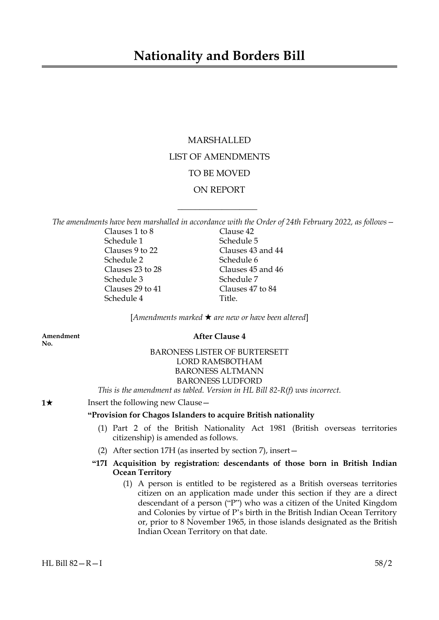## **Nationality and Borders Bill**

# MARSHALLED LIST OF AMENDMENTS TO BE MOVED ON REPORT

*The amendments have been marshalled in accordance with the Order of 24th February 2022, as follows—*

 $\overline{\phantom{a}}$  , where  $\overline{\phantom{a}}$ 

Clauses 1 to 8 Clause 42 Schedule 1 Schedule 5 Clauses 9 to 22 Clauses 43 and 44 Schedule 2 Schedule 6 Clauses 23 to 28 Clauses 45 and 46 Schedule 3 Schedule 7 Clauses 29 to 41 Clauses 47 to 84 Schedule 4 Title.

[*Amendments marked* \* *are new or have been altered*]

**No.**

### **Amendment After Clause 4**

### BARONESS LISTER OF BURTERSETT LORD RAMSBOTHAM BARONESS ALTMANN BARONESS LUDFORD

*This is the amendment as tabled. Version in HL Bill 82-R(f) was incorrect.*

**1**★ Insert the following new Clause —

### **"Provision for Chagos Islanders to acquire British nationality**

- (1) Part 2 of the British Nationality Act 1981 (British overseas territories citizenship) is amended as follows.
- (2) After section 17H (as inserted by section 7), insert—
- **"17I Acquisition by registration: descendants of those born in British Indian Ocean Territory**
	- (1) A person is entitled to be registered as a British overseas territories citizen on an application made under this section if they are a direct descendant of a person ("P") who was a citizen of the United Kingdom and Colonies by virtue of P's birth in the British Indian Ocean Territory or, prior to 8 November 1965, in those islands designated as the British Indian Ocean Territory on that date.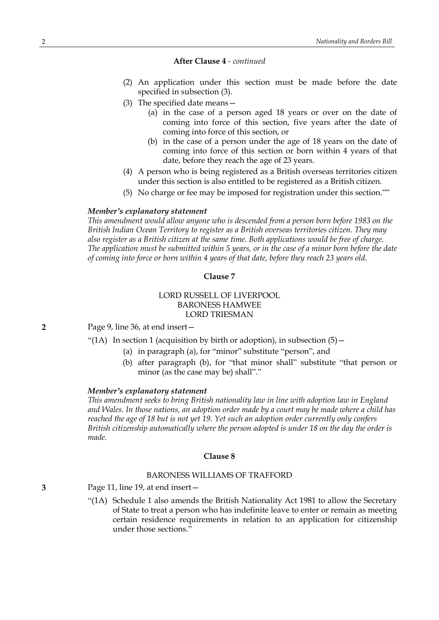#### **After Clause 4** *- continued*

- (2) An application under this section must be made before the date specified in subsection (3).
- (3) The specified date means—
	- (a) in the case of a person aged 18 years or over on the date of coming into force of this section, five years after the date of coming into force of this section, or
	- (b) in the case of a person under the age of 18 years on the date of coming into force of this section or born within 4 years of that date, before they reach the age of 23 years.
- (4) A person who is being registered as a British overseas territories citizen under this section is also entitled to be registered as a British citizen.
- (5) No charge or fee may be imposed for registration under this section.""

#### *Member's explanatory statement*

*This amendment would allow anyone who is descended from a person born before 1983 on the British Indian Ocean Territory to register as a British overseas territories citizen. They may also register as a British citizen at the same time. Both applications would be free of charge.* The application must be submitted within 5 years, or in the case of a minor born before the date *of coming into force or born within 4 years of that date, before they reach 23 years old.*

#### **Clause 7**

### LORD RUSSELL OF LIVERPOOL BARONESS HAMWEE LORD TRIESMAN

**2** Page 9, line 36, at end insert—

- "(1A) In section 1 (acquisition by birth or adoption), in subsection  $(5)$  -
	- (a) in paragraph (a), for "minor" substitute "person", and
	- (b) after paragraph (b), for "that minor shall" substitute "that person or minor (as the case may be) shall"."

#### *Member's explanatory statement*

*This amendment seeks to bring British nationality law in line with adoption law in England* and Wales. In those nations, an adoption order made by a court may be made where a child has *reached the age of 18 but is not yet 19. Yet such an adoption order currently only confers British citizenship automatically where the person adopted is under 18 on the day the order is made.*

#### **Clause 8**

#### BARONESS WILLIAMS OF TRAFFORD

- **3** Page 11, line 19, at end insert—
	- "(1A) Schedule 1 also amends the British Nationality Act 1981 to allow the Secretary of State to treat a person who has indefinite leave to enter or remain as meeting certain residence requirements in relation to an application for citizenship under those sections."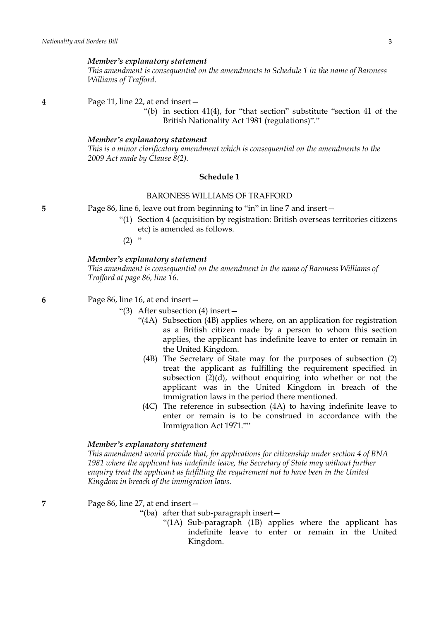*This amendment is consequential on the amendments to Schedule 1 in the name of Baroness Williams of Trafford.*

**4** Page 11, line 22, at end insert—

"(b) in section 41(4), for "that section" substitute "section 41 of the British Nationality Act 1981 (regulations)"."

#### *Member's explanatory statement*

*This is a minor clarificatory amendment which is consequential on the amendments to the 2009 Act made by Clause 8(2).*

#### **Schedule 1**

#### BARONESS WILLIAMS OF TRAFFORD

**5** Page 86, line 6, leave out from beginning to "in" in line 7 and insert—

- "(1) Section 4 (acquisition by registration: British overseas territories citizens etc) is amended as follows.
- $(2)$  "

### *Member's explanatory statement*

*This amendment is consequential on the amendment in the name of Baroness Williams of Trafford at page 86, line 16.*

**6** Page 86, line 16, at end insert—

- "(3) After subsection (4) insert—
	- "(4A) Subsection (4B) applies where, on an application for registration as a British citizen made by a person to whom this section applies, the applicant has indefinite leave to enter or remain in the United Kingdom.
		- (4B) The Secretary of State may for the purposes of subsection (2) treat the applicant as fulfilling the requirement specified in subsection  $(2)(d)$ , without enquiring into whether or not the applicant was in the United Kingdom in breach of the immigration laws in the period there mentioned.
	- (4C) The reference in subsection (4A) to having indefinite leave to enter or remain is to be construed in accordance with the Immigration Act 1971.""

#### *Member's explanatory statement*

*This amendment would provide that, for applications for citizenship under section 4 of BNA 1981 where the applicant has indefinite leave, the Secretary of State may without further enquiry treat the applicant as fulfilling the requirement not to have been in the United Kingdom in breach of the immigration laws.*

**7** Page 86, line 27, at end insert—

- "(ba) after that sub-paragraph insert—
	- "(1A) Sub-paragraph (1B) applies where the applicant has indefinite leave to enter or remain in the United Kingdom.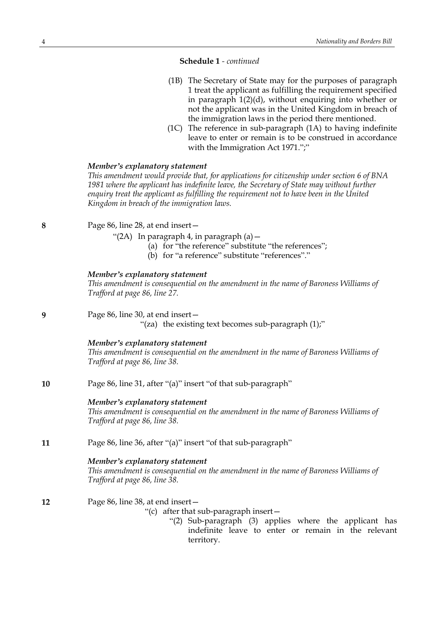### **Schedule 1** *- continued*

- (1B) The Secretary of State may for the purposes of paragraph 1 treat the applicant as fulfilling the requirement specified in paragraph 1(2)(d), without enquiring into whether or not the applicant was in the United Kingdom in breach of the immigration laws in the period there mentioned.
- (1C) The reference in sub-paragraph (1A) to having indefinite leave to enter or remain is to be construed in accordance with the Immigration Act 1971.";"

### *Member's explanatory statement*

*This amendment would provide that, for applications for citizenship under section 6 of BNA 1981 where the applicant has indefinite leave, the Secretary of State may without further enquiry treat the applicant as fulfilling the requirement not to have been in the United Kingdom in breach of the immigration laws.*

**8** Page 86, line 28, at end insert—

"(2A) In paragraph 4, in paragraph (a)—

- (a) for "the reference" substitute "the references";
- (b) for "a reference" substitute "references"."

#### *Member's explanatory statement*

*This amendment is consequential on the amendment in the name of Baroness Williams of Trafford at page 86, line 27.*

**9** Page 86, line 30, at end insert—

"(za) the existing text becomes sub-paragraph  $(1)$ ;"

#### *Member's explanatory statement*

*This amendment is consequential on the amendment in the name of Baroness Williams of Trafford at page 86, line 38.*

**10** Page 86, line 31, after "(a)" insert "of that sub-paragraph"

#### *Member's explanatory statement*

*This amendment is consequential on the amendment in the name of Baroness Williams of Trafford at page 86, line 38.*

**11** Page 86, line 36, after "(a)" insert "of that sub-paragraph"

### *Member's explanatory statement*

*This amendment is consequential on the amendment in the name of Baroness Williams of Trafford at page 86, line 38.*

**12** Page 86, line 38, at end insert—

"(c) after that sub-paragraph insert—

"(2) Sub-paragraph (3) applies where the applicant has indefinite leave to enter or remain in the relevant territory.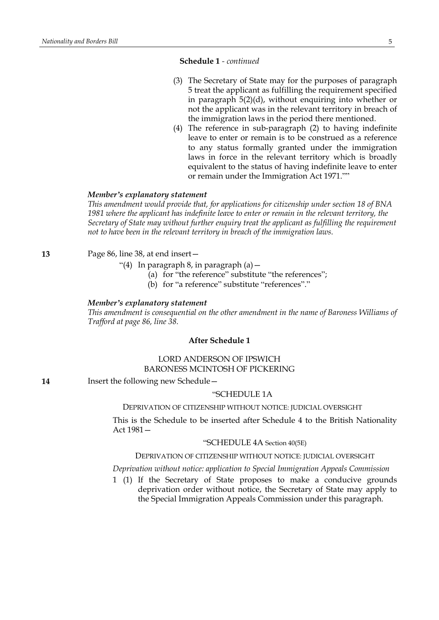### **Schedule 1** *- continued*

- (3) The Secretary of State may for the purposes of paragraph 5 treat the applicant as fulfilling the requirement specified in paragraph 5(2)(d), without enquiring into whether or not the applicant was in the relevant territory in breach of the immigration laws in the period there mentioned.
- (4) The reference in sub-paragraph (2) to having indefinite leave to enter or remain is to be construed as a reference to any status formally granted under the immigration laws in force in the relevant territory which is broadly equivalent to the status of having indefinite leave to enter or remain under the Immigration Act 1971.""

#### *Member's explanatory statement*

*This amendment would provide that, for applications for citizenship under section 18 of BNA 1981 where the applicant has indefinite leave to enter or remain in the relevant territory, the Secretary of State may without further enquiry treat the applicant as fulfilling the requirement not to have been in the relevant territory in breach of the immigration laws.*

#### **13** Page 86, line 38, at end insert—

- "(4) In paragraph 8, in paragraph (a)—
	- (a) for "the reference" substitute "the references";
	- (b) for "a reference" substitute "references"."

#### *Member's explanatory statement*

*This amendment is consequential on the other amendment in the name of Baroness Williams of Trafford at page 86, line 38.*

### **After Schedule 1**

### LORD ANDERSON OF IPSWICH BARONESS MCINTOSH OF PICKERING

**14** Insert the following new Schedule—

#### "SCHEDULE 1A

### DEPRIVATION OF CITIZENSHIP WITHOUT NOTICE: JUDICIAL OVERSIGHT

This is the Schedule to be inserted after Schedule 4 to the British Nationality Act 1981—

### "SCHEDULE 4A Section 40(5E)

### DEPRIVATION OF CITIZENSHIP WITHOUT NOTICE: JUDICIAL OVERSIGHT

#### *Deprivation without notice: application to Special Immigration Appeals Commission*

1 (1) If the Secretary of State proposes to make a conducive grounds deprivation order without notice, the Secretary of State may apply to the Special Immigration Appeals Commission under this paragraph.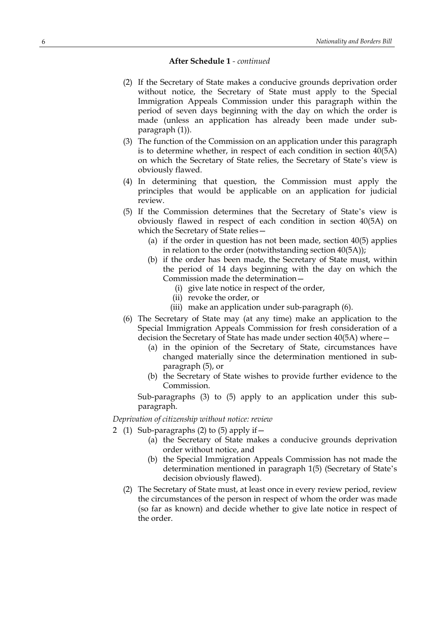#### **After Schedule 1** *- continued*

- (2) If the Secretary of State makes a conducive grounds deprivation order without notice, the Secretary of State must apply to the Special Immigration Appeals Commission under this paragraph within the period of seven days beginning with the day on which the order is made (unless an application has already been made under subparagraph (1)).
- (3) The function of the Commission on an application under this paragraph is to determine whether, in respect of each condition in section 40(5A) on which the Secretary of State relies, the Secretary of State's view is obviously flawed.
- (4) In determining that question, the Commission must apply the principles that would be applicable on an application for judicial review.
- (5) If the Commission determines that the Secretary of State's view is obviously flawed in respect of each condition in section 40(5A) on which the Secretary of State relies—
	- (a) if the order in question has not been made, section 40(5) applies in relation to the order (notwithstanding section 40(5A));
	- (b) if the order has been made, the Secretary of State must, within the period of 14 days beginning with the day on which the Commission made the determination—
		- (i) give late notice in respect of the order,
		- (ii) revoke the order, or
		- (iii) make an application under sub-paragraph (6).
- (6) The Secretary of State may (at any time) make an application to the Special Immigration Appeals Commission for fresh consideration of a decision the Secretary of State has made under section 40(5A) where—
	- (a) in the opinion of the Secretary of State, circumstances have changed materially since the determination mentioned in subparagraph (5), or
	- (b) the Secretary of State wishes to provide further evidence to the Commission.

Sub-paragraphs (3) to (5) apply to an application under this subparagraph.

#### *Deprivation of citizenship without notice: review*

- 2 (1) Sub-paragraphs (2) to (5) apply if—
	- (a) the Secretary of State makes a conducive grounds deprivation order without notice, and
	- (b) the Special Immigration Appeals Commission has not made the determination mentioned in paragraph 1(5) (Secretary of State's decision obviously flawed).
	- (2) The Secretary of State must, at least once in every review period, review the circumstances of the person in respect of whom the order was made (so far as known) and decide whether to give late notice in respect of the order.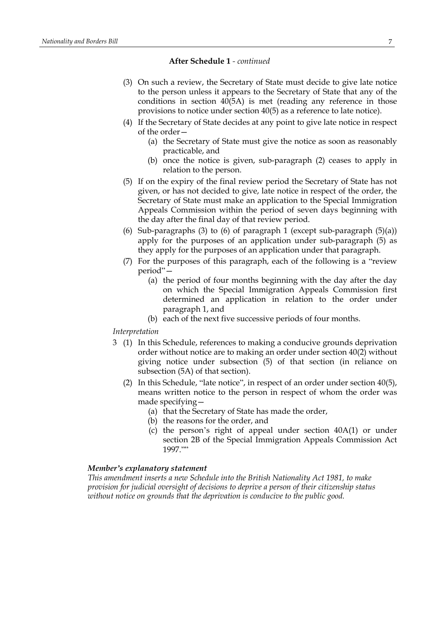### **After Schedule 1** *- continued*

- (3) On such a review, the Secretary of State must decide to give late notice to the person unless it appears to the Secretary of State that any of the conditions in section 40(5A) is met (reading any reference in those provisions to notice under section 40(5) as a reference to late notice).
- (4) If the Secretary of State decides at any point to give late notice in respect of the order—
	- (a) the Secretary of State must give the notice as soon as reasonably practicable, and
	- (b) once the notice is given, sub-paragraph (2) ceases to apply in relation to the person.
- (5) If on the expiry of the final review period the Secretary of State has not given, or has not decided to give, late notice in respect of the order, the Secretary of State must make an application to the Special Immigration Appeals Commission within the period of seven days beginning with the day after the final day of that review period.
- (6) Sub-paragraphs (3) to (6) of paragraph 1 (except sub-paragraph  $(5)(a)$ ) apply for the purposes of an application under sub-paragraph (5) as they apply for the purposes of an application under that paragraph.
- (7) For the purposes of this paragraph, each of the following is a "review period"—
	- (a) the period of four months beginning with the day after the day on which the Special Immigration Appeals Commission first determined an application in relation to the order under paragraph 1, and
	- (b) each of the next five successive periods of four months.

#### *Interpretation*

- 3 (1) In this Schedule, references to making a conducive grounds deprivation order without notice are to making an order under section 40(2) without giving notice under subsection (5) of that section (in reliance on subsection (5A) of that section).
	- (2) In this Schedule, "late notice", in respect of an order under section 40(5), means written notice to the person in respect of whom the order was made specifying—
		- (a) that the Secretary of State has made the order,
		- (b) the reasons for the order, and
		- (c) the person's right of appeal under section 40A(1) or under section 2B of the Special Immigration Appeals Commission Act 1997.""

#### *Member's explanatory statement*

*This amendment inserts a new Schedule into the British Nationality Act 1981, to make provision for judicial oversight of decisions to deprive a person of their citizenship status without notice on grounds that the deprivation is conducive to the public good.*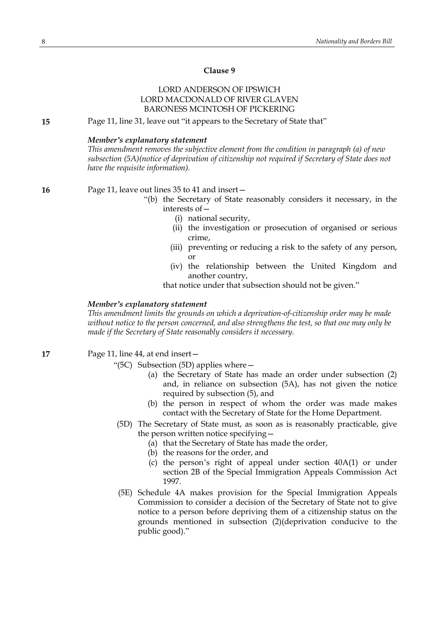### **Clause 9**

### LORD ANDERSON OF IPSWICH LORD MACDONALD OF RIVER GLAVEN BARONESS MCINTOSH OF PICKERING

**15** Page 11, line 31, leave out "it appears to the Secretary of State that"

### *Member's explanatory statement*

*This amendment removes the subjective element from the condition in paragraph (a) of new subsection (5A)(notice of deprivation of citizenship not required if Secretary of State does not have the requisite information).*

### **16** Page 11, leave out lines 35 to 41 and insert—

- "(b) the Secretary of State reasonably considers it necessary, in the interests of—
	- (i) national security,
	- (ii) the investigation or prosecution of organised or serious crime,
	- (iii) preventing or reducing a risk to the safety of any person, or
	- (iv) the relationship between the United Kingdom and another country,

that notice under that subsection should not be given."

### *Member's explanatory statement*

*This amendment limits the grounds on which a deprivation-of-citizenship order may be made without notice to the person concerned, and also strengthens the test, so that one may only be made if the Secretary of State reasonably considers it necessary.*

### **17** Page 11, line 44, at end insert—

"(5C) Subsection (5D) applies where—

- (a) the Secretary of State has made an order under subsection (2) and, in reliance on subsection (5A), has not given the notice required by subsection (5), and
- (b) the person in respect of whom the order was made makes contact with the Secretary of State for the Home Department.
- (5D) The Secretary of State must, as soon as is reasonably practicable, give the person written notice specifying—
	- (a) that the Secretary of State has made the order,
	- (b) the reasons for the order, and
	- (c) the person's right of appeal under section 40A(1) or under section 2B of the Special Immigration Appeals Commission Act 1997.
- (5E) Schedule 4A makes provision for the Special Immigration Appeals Commission to consider a decision of the Secretary of State not to give notice to a person before depriving them of a citizenship status on the grounds mentioned in subsection (2)(deprivation conducive to the public good)."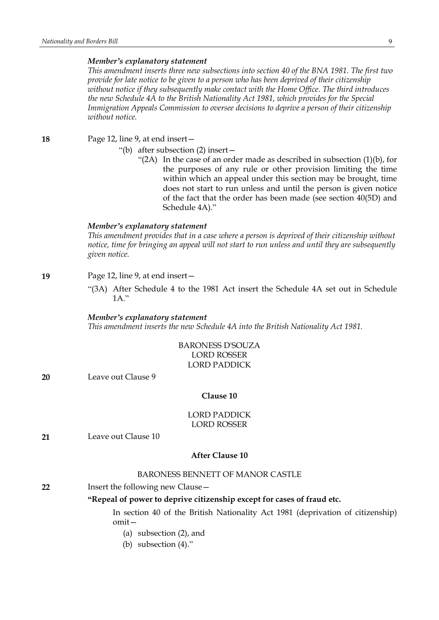*This amendment inserts three new subsections into section 40 of the BNA 1981. The first two provide for late notice to be given to a person who has been deprived of their citizenship without notice if they subsequently make contact with the Home Office. The third introduces the new Schedule 4A to the British Nationality Act 1981, which provides for the Special Immigration Appeals Commission to oversee decisions to deprive a person of their citizenship without notice.*

**18** Page 12, line 9, at end insert—

- "(b) after subsection (2) insert—
	- "(2A) In the case of an order made as described in subsection (1)(b), for the purposes of any rule or other provision limiting the time within which an appeal under this section may be brought, time does not start to run unless and until the person is given notice of the fact that the order has been made (see section 40(5D) and Schedule 4A)."

#### *Member's explanatory statement*

*This amendment provides that in a case where a person is deprived of their citizenship without notice, time for bringing an appeal will not start to run unless and until they are subsequently given notice.*

### **19** Page 12, line 9, at end insert—

"(3A) After Schedule 4 to the 1981 Act insert the Schedule 4A set out in Schedule  $1A$ ."

*Member's explanatory statement This amendment inserts the new Schedule 4A into the British Nationality Act 1981.*

### BARONESS D'SOUZA LORD ROSSER LORD PADDICK

**20** Leave out Clause 9

### **Clause 10**

### LORD PADDICK LORD ROSSER

**21** Leave out Clause 10

### **After Clause 10**

### BARONESS BENNETT OF MANOR CASTLE

**22** Insert the following new Clause—

### **"Repeal of power to deprive citizenship except for cases of fraud etc.**

In section 40 of the British Nationality Act 1981 (deprivation of citizenship) omit—

- (a) subsection (2), and
- (b) subsection (4)."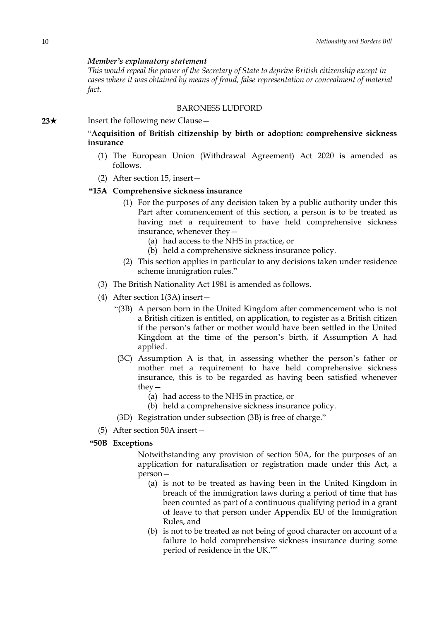*This would repeal the power of the Secretary of State to deprive British citizenship except in cases where it was obtained by means of fraud, false representation or concealment of material fact.*

### BARONESS LUDFORD

**23**★ Insert the following new Clause —

"**Acquisition of British citizenship by birth or adoption: comprehensive sickness insurance**

- (1) The European Union (Withdrawal Agreement) Act 2020 is amended as follows.
- (2) After section 15, insert—

### **"15A Comprehensive sickness insurance**

- (1) For the purposes of any decision taken by a public authority under this Part after commencement of this section, a person is to be treated as having met a requirement to have held comprehensive sickness insurance, whenever they—
	- (a) had access to the NHS in practice, or
	- (b) held a comprehensive sickness insurance policy.
- (2) This section applies in particular to any decisions taken under residence scheme immigration rules."
- (3) The British Nationality Act 1981 is amended as follows.
- (4) After section 1(3A) insert—
	- "(3B) A person born in the United Kingdom after commencement who is not a British citizen is entitled, on application, to register as a British citizen if the person's father or mother would have been settled in the United Kingdom at the time of the person's birth, if Assumption A had applied.
	- (3C) Assumption A is that, in assessing whether the person's father or mother met a requirement to have held comprehensive sickness insurance, this is to be regarded as having been satisfied whenever they—
		- (a) had access to the NHS in practice, or
		- (b) held a comprehensive sickness insurance policy.
	- (3D) Registration under subsection (3B) is free of charge."
- (5) After section 50A insert—

### **"50B Exceptions**

Notwithstanding any provision of section 50A, for the purposes of an application for naturalisation or registration made under this Act, a person—

- (a) is not to be treated as having been in the United Kingdom in breach of the immigration laws during a period of time that has been counted as part of a continuous qualifying period in a grant of leave to that person under Appendix EU of the Immigration Rules, and
- (b) is not to be treated as not being of good character on account of a failure to hold comprehensive sickness insurance during some period of residence in the UK.""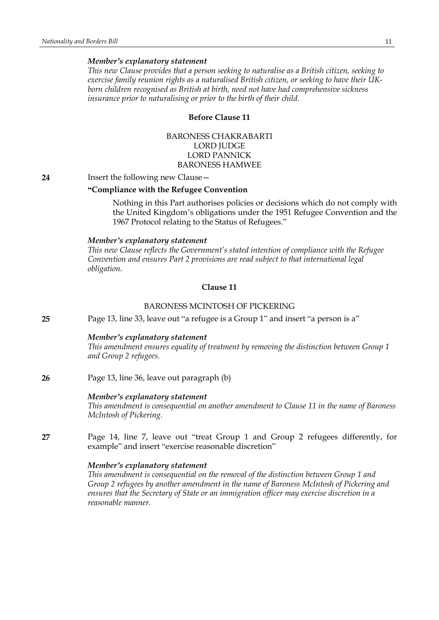*This new Clause provides that a person seeking to naturalise as a British citizen, seeking to exercise family reunion rights as a naturalised British citizen, or seeking to have their UKborn children recognised as British at birth, need not have had comprehensive sickness insurance prior to naturalising or prior to the birth of their child.*

### **Before Clause 11**

BARONESS CHAKRABARTI LORD JUDGE LORD PANNICK BARONESS HAMWEE

**24** Insert the following new Clause—

### **"Compliance with the Refugee Convention**

Nothing in this Part authorises policies or decisions which do not comply with the United Kingdom's obligations under the 1951 Refugee Convention and the 1967 Protocol relating to the Status of Refugees."

#### *Member's explanatory statement*

*This new Clause reflects the Government's stated intention of compliance with the Refugee Convention and ensures Part 2 provisions are read subject to that international legal obligation.*

#### **Clause 11**

### BARONESS MCINTOSH OF PICKERING

**25** Page 13, line 33, leave out "a refugee is a Group 1" and insert "a person is a"

#### *Member's explanatory statement*

*This amendment ensures equality of treatment by removing the distinction between Group 1 and Group 2 refugees.*

### **26** Page 13, line 36, leave out paragraph (b)

#### *Member's explanatory statement*

*This amendment is consequential on another amendment to Clause 11 in the name of Baroness McIntosh of Pickering.*

**27** Page 14, line 7, leave out "treat Group 1 and Group 2 refugees differently, for example" and insert "exercise reasonable discretion"

### *Member's explanatory statement*

*This amendment is consequential on the removal of the distinction between Group 1 and Group 2 refugees by another amendment in the name of Baroness McIntosh of Pickering and ensures that the Secretary of State or an immigration officer may exercise discretion in a reasonable manner.*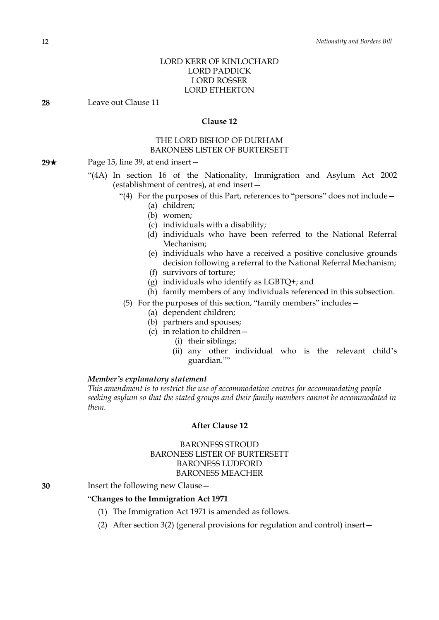### LORD KERR OF KINLOCHARD LORD PADDICK LORD ROSSER LORD ETHERTON

**28** Leave out Clause 11

### **Clause 12**

### THE LORD BISHOP OF DURHAM BARONESS LISTER OF BURTERSETT

- **29★** Page 15, line 39, at end insert
	- "(4A) In section 16 of the Nationality, Immigration and Asylum Act 2002 (establishment of centres), at end insert—
		- "(4) For the purposes of this Part, references to "persons" does not include—
			- (a) children;
			- (b) women;
			- (c) individuals with a disability;
			- (d) individuals who have been referred to the National Referral Mechanism;
			- (e) individuals who have a received a positive conclusive grounds decision following a referral to the National Referral Mechanism;
			- (f) survivors of torture;
			- (g) individuals who identify as LGBTQ+; and
			- (h) family members of any individuals referenced in this subsection.
			- (5) For the purposes of this section, "family members" includes—
				- (a) dependent children;
				- (b) partners and spouses;
				- (c) in relation to children—
					- (i) their siblings;
						- (ii) any other individual who is the relevant child's guardian.""

#### *Member's explanatory statement*

*This amendment is to restrict the use of accommodation centres for accommodating people seeking asylum so that the stated groups and their family members cannot be accommodated in them.*

#### **After Clause 12**

### BARONESS STROUD BARONESS LISTER OF BURTERSETT BARONESS LUDFORD BARONESS MEACHER

**30** Insert the following new Clause—

### "**Changes to the Immigration Act 1971**

- (1) The Immigration Act 1971 is amended as follows.
- (2) After section 3(2) (general provisions for regulation and control) insert—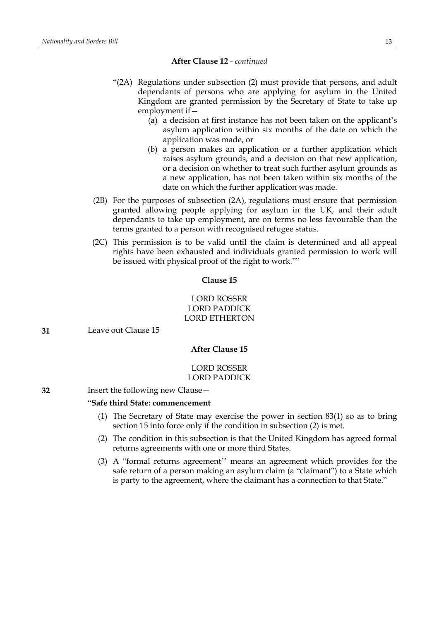#### **After Clause 12** *- continued*

- "(2A) Regulations under subsection (2) must provide that persons, and adult dependants of persons who are applying for asylum in the United Kingdom are granted permission by the Secretary of State to take up employment if—
	- (a) a decision at first instance has not been taken on the applicant's asylum application within six months of the date on which the application was made, or
	- (b) a person makes an application or a further application which raises asylum grounds, and a decision on that new application, or a decision on whether to treat such further asylum grounds as a new application, has not been taken within six months of the date on which the further application was made.
- (2B) For the purposes of subsection (2A), regulations must ensure that permission granted allowing people applying for asylum in the UK, and their adult dependants to take up employment, are on terms no less favourable than the terms granted to a person with recognised refugee status.
- (2C) This permission is to be valid until the claim is determined and all appeal rights have been exhausted and individuals granted permission to work will be issued with physical proof of the right to work.""

### **Clause 15**

### LORD ROSSER LORD PADDICK LORD ETHERTON

**31** Leave out Clause 15

#### **After Clause 15**

### LORD ROSSER LORD PADDICK

### **32** Insert the following new Clause—

### "**Safe third State: commencement**

- (1) The Secretary of State may exercise the power in section 83(1) so as to bring section 15 into force only if the condition in subsection (2) is met.
- (2) The condition in this subsection is that the United Kingdom has agreed formal returns agreements with one or more third States.
- (3) A "formal returns agreement'' means an agreement which provides for the safe return of a person making an asylum claim (a "claimant") to a State which is party to the agreement, where the claimant has a connection to that State."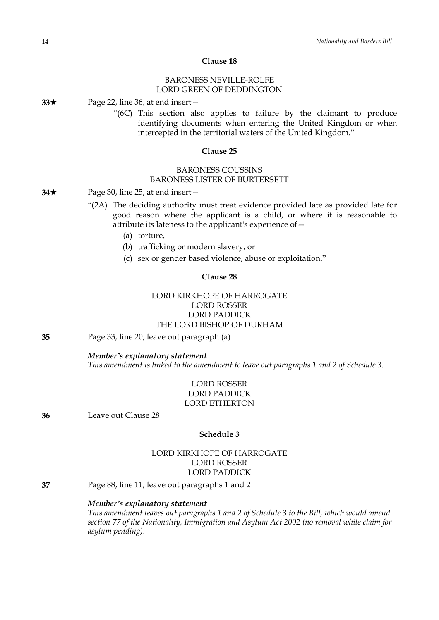### **Clause 18**

### BARONESS NEVILLE-ROLFE LORD GREEN OF DEDDINGTON

**33**\* Page 22, line 36, at end insert—

"(6C) This section also applies to failure by the claimant to produce identifying documents when entering the United Kingdom or when intercepted in the territorial waters of the United Kingdom."

### **Clause 25**

### BARONESS COUSSINS BARONESS LISTER OF BURTERSETT

#### **34**★ Page 30, line 25, at end insert —

- "(2A) The deciding authority must treat evidence provided late as provided late for good reason where the applicant is a child, or where it is reasonable to attribute its lateness to the applicant's experience of—
	- (a) torture,
	- (b) trafficking or modern slavery, or
	- (c) sex or gender based violence, abuse or exploitation."

### **Clause 28**

### LORD KIRKHOPE OF HARROGATE LORD ROSSER LORD PADDICK THE LORD BISHOP OF DURHAM

**35** Page 33, line 20, leave out paragraph (a)

#### *Member's explanatory statement*

*This amendment is linked to the amendment to leave out paragraphs 1 and 2 of Schedule 3.*

### LORD ROSSER LORD PADDICK LORD ETHERTON

**36** Leave out Clause 28

### **Schedule 3**

### LORD KIRKHOPE OF HARROGATE LORD ROSSER LORD PADDICK

**37** Page 88, line 11, leave out paragraphs 1 and 2

#### *Member's explanatory statement*

*This amendment leaves out paragraphs 1 and 2 of Schedule 3 to the Bill, which would amend section 77 of the Nationality, Immigration and Asylum Act 2002 (no removal while claim for asylum pending).*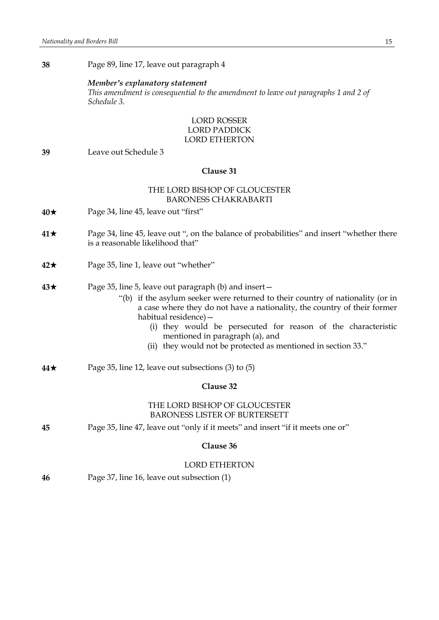**38** Page 89, line 17, leave out paragraph 4

#### *Member's explanatory statement*

*This amendment is consequential to the amendment to leave out paragraphs 1 and 2 of Schedule 3.*

### LORD ROSSER LORD PADDICK LORD ETHERTON

**39** Leave out Schedule 3

#### **Clause 31**

### THE LORD BISHOP OF GLOUCESTER BARONESS CHAKRABARTI

- **40**★ Page 34, line 45, leave out "first"
- **41**\* Page 34, line 45, leave out ", on the balance of probabilities" and insert "whether there is a reasonable likelihood that"
- **42**\* Page 35, line 1, leave out "whether"
- **43**★ Page 35, line 5, leave out paragraph (b) and insert
	- "(b) if the asylum seeker were returned to their country of nationality (or in a case where they do not have a nationality, the country of their former habitual residence)—
		- (i) they would be persecuted for reason of the characteristic mentioned in paragraph (a), and
		- (ii) they would not be protected as mentioned in section 33."
- **44**\* Page 35, line 12, leave out subsections (3) to (5)

### **Clause 32**

### THE LORD BISHOP OF GLOUCESTER BARONESS LISTER OF BURTERSETT

**45** Page 35, line 47, leave out "only if it meets" and insert "if it meets one or"

#### **Clause 36**

#### LORD ETHERTON

**46** Page 37, line 16, leave out subsection (1)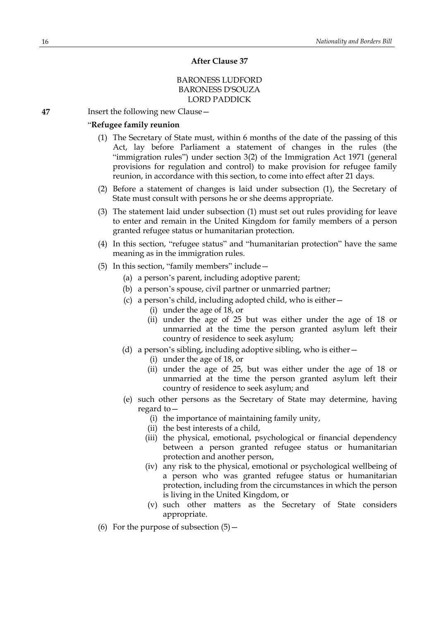#### **After Clause 37**

### BARONESS LUDFORD BARONESS D'SOUZA LORD PADDICK

**47** Insert the following new Clause—

### "**Refugee family reunion**

- (1) The Secretary of State must, within 6 months of the date of the passing of this Act, lay before Parliament a statement of changes in the rules (the "immigration rules") under section 3(2) of the Immigration Act 1971 (general provisions for regulation and control) to make provision for refugee family reunion, in accordance with this section, to come into effect after 21 days.
- (2) Before a statement of changes is laid under subsection (1), the Secretary of State must consult with persons he or she deems appropriate.
- (3) The statement laid under subsection (1) must set out rules providing for leave to enter and remain in the United Kingdom for family members of a person granted refugee status or humanitarian protection.
- (4) In this section, "refugee status" and "humanitarian protection" have the same meaning as in the immigration rules.
- (5) In this section, "family members" include—
	- (a) a person's parent, including adoptive parent;
	- (b) a person's spouse, civil partner or unmarried partner;
	- (c) a person's child, including adopted child, who is either—
		- (i) under the age of 18, or
		- (ii) under the age of 25 but was either under the age of 18 or unmarried at the time the person granted asylum left their country of residence to seek asylum;
	- (d) a person's sibling, including adoptive sibling, who is either—
		- (i) under the age of 18, or
		- (ii) under the age of 25, but was either under the age of 18 or unmarried at the time the person granted asylum left their country of residence to seek asylum; and
	- (e) such other persons as the Secretary of State may determine, having regard to—
		- (i) the importance of maintaining family unity,
		- (ii) the best interests of a child,
		- (iii) the physical, emotional, psychological or financial dependency between a person granted refugee status or humanitarian protection and another person,
		- (iv) any risk to the physical, emotional or psychological wellbeing of a person who was granted refugee status or humanitarian protection, including from the circumstances in which the person is living in the United Kingdom, or
		- (v) such other matters as the Secretary of State considers appropriate.
- (6) For the purpose of subsection  $(5)$  –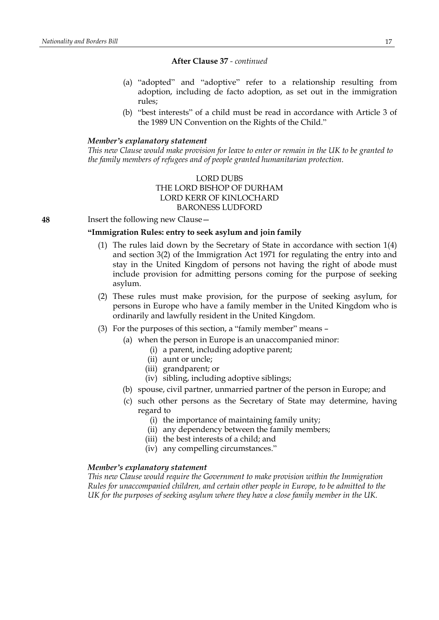#### **After Clause 37** *- continued*

- (a) "adopted" and "adoptive" refer to a relationship resulting from adoption, including de facto adoption, as set out in the immigration rules;
- (b) "best interests" of a child must be read in accordance with Article 3 of the 1989 UN Convention on the Rights of the Child."

### *Member's explanatory statement*

This new Clause would make provision for leave to enter or remain in the UK to be granted to *the family members of refugees and of people granted humanitarian protection.*

### LORD DUBS THE LORD BISHOP OF DURHAM LORD KERR OF KINLOCHARD BARONESS LUDFORD

**48** Insert the following new Clause—

### **"Immigration Rules: entry to seek asylum and join family**

- (1) The rules laid down by the Secretary of State in accordance with section 1(4) and section 3(2) of the Immigration Act 1971 for regulating the entry into and stay in the United Kingdom of persons not having the right of abode must include provision for admitting persons coming for the purpose of seeking asylum.
- (2) These rules must make provision, for the purpose of seeking asylum, for persons in Europe who have a family member in the United Kingdom who is ordinarily and lawfully resident in the United Kingdom.
- (3) For the purposes of this section, a "family member" means
	- (a) when the person in Europe is an unaccompanied minor:
		- (i) a parent, including adoptive parent;
		- (ii) aunt or uncle;
		- (iii) grandparent; or
		- (iv) sibling, including adoptive siblings;
	- (b) spouse, civil partner, unmarried partner of the person in Europe; and
	- (c) such other persons as the Secretary of State may determine, having regard to
		- (i) the importance of maintaining family unity;
		- (ii) any dependency between the family members;
		- (iii) the best interests of a child; and
		- (iv) any compelling circumstances."

### *Member's explanatory statement*

*This new Clause would require the Government to make provision within the Immigration Rules for unaccompanied children, and certain other people in Europe, to be admitted to the UK for the purposes of seeking asylum where they have a close family member in the UK.*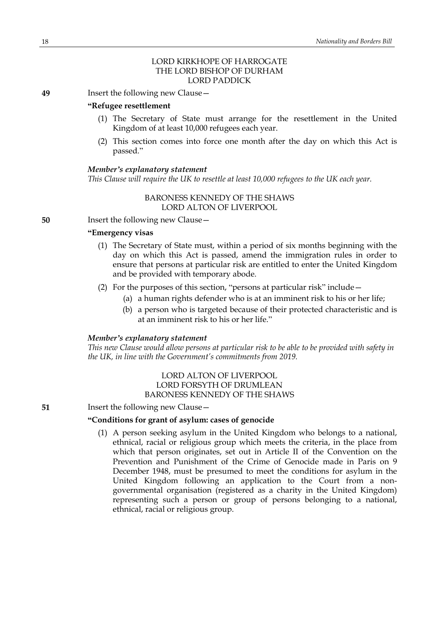### LORD KIRKHOPE OF HARROGATE THE LORD BISHOP OF DURHAM LORD PADDICK

**49** Insert the following new Clause—

### **"Refugee resettlement**

- (1) The Secretary of State must arrange for the resettlement in the United Kingdom of at least 10,000 refugees each year.
- (2) This section comes into force one month after the day on which this Act is passed."

### *Member's explanatory statement*

*This Clause will require the UK to resettle at least 10,000 refugees to the UK each year.*

### BARONESS KENNEDY OF THE SHAWS LORD ALTON OF LIVERPOOL

**50** Insert the following new Clause -

### **"Emergency visas**

- (1) The Secretary of State must, within a period of six months beginning with the day on which this Act is passed, amend the immigration rules in order to ensure that persons at particular risk are entitled to enter the United Kingdom and be provided with temporary abode.
- (2) For the purposes of this section, "persons at particular risk" include—
	- (a) a human rights defender who is at an imminent risk to his or her life;
	- (b) a person who is targeted because of their protected characteristic and is at an imminent risk to his or her life."

### *Member's explanatory statement*

*This new Clause would allow persons at particular risk to be able to be provided with safety in the UK, in line with the Government's commitments from 2019.*

### LORD ALTON OF LIVERPOOL LORD FORSYTH OF DRUMLEAN BARONESS KENNEDY OF THE SHAWS

**51** Insert the following new Clause—

### **"Conditions for grant of asylum: cases of genocide**

(1) A person seeking asylum in the United Kingdom who belongs to a national, ethnical, racial or religious group which meets the criteria, in the place from which that person originates, set out in Article II of the Convention on the Prevention and Punishment of the Crime of Genocide made in Paris on 9 December 1948, must be presumed to meet the conditions for asylum in the United Kingdom following an application to the Court from a nongovernmental organisation (registered as a charity in the United Kingdom) representing such a person or group of persons belonging to a national, ethnical, racial or religious group.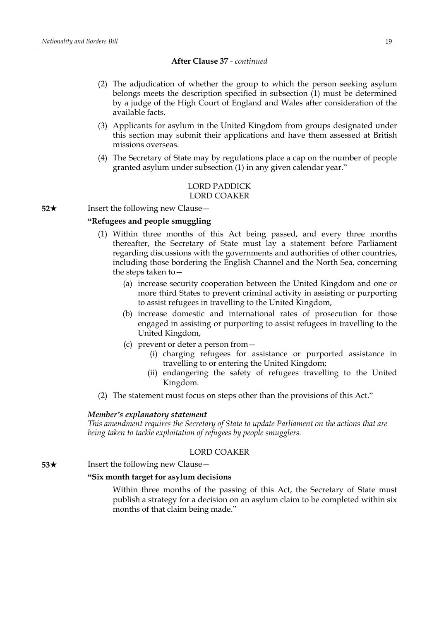#### **After Clause 37** *- continued*

- (2) The adjudication of whether the group to which the person seeking asylum belongs meets the description specified in subsection (1) must be determined by a judge of the High Court of England and Wales after consideration of the available facts.
- (3) Applicants for asylum in the United Kingdom from groups designated under this section may submit their applications and have them assessed at British missions overseas.
- (4) The Secretary of State may by regulations place a cap on the number of people granted asylum under subsection (1) in any given calendar year."

### LORD PADDICK LORD COAKER

**52**★ Insert the following new Clause

### **"Refugees and people smuggling**

- (1) Within three months of this Act being passed, and every three months thereafter, the Secretary of State must lay a statement before Parliament regarding discussions with the governments and authorities of other countries, including those bordering the English Channel and the North Sea, concerning the steps taken to—
	- (a) increase security cooperation between the United Kingdom and one or more third States to prevent criminal activity in assisting or purporting to assist refugees in travelling to the United Kingdom,
	- (b) increase domestic and international rates of prosecution for those engaged in assisting or purporting to assist refugees in travelling to the United Kingdom,
	- (c) prevent or deter a person from—
		- (i) charging refugees for assistance or purported assistance in travelling to or entering the United Kingdom;
		- (ii) endangering the safety of refugees travelling to the United Kingdom.
- (2) The statement must focus on steps other than the provisions of this Act."

### *Member's explanatory statement*

*This amendment requires the Secretary of State to update Parliament on the actions that are being taken to tackle exploitation of refugees by people smugglers.*

#### LORD COAKER

**53**★ Insert the following new Clause

#### **"Six month target for asylum decisions**

Within three months of the passing of this Act, the Secretary of State must publish a strategy for a decision on an asylum claim to be completed within six months of that claim being made."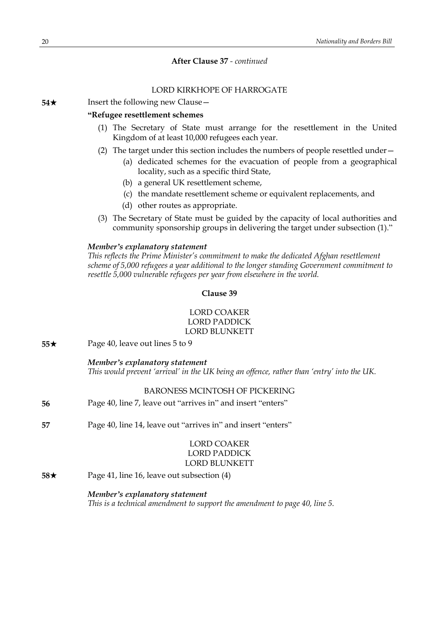### **After Clause 37** *- continued*

### LORD KIRKHOPE OF HARROGATE

**54**★ Insert the following new Clause

#### **"Refugee resettlement schemes**

- (1) The Secretary of State must arrange for the resettlement in the United Kingdom of at least 10,000 refugees each year.
- (2) The target under this section includes the numbers of people resettled under—
	- (a) dedicated schemes for the evacuation of people from a geographical locality, such as a specific third State,
	- (b) a general UK resettlement scheme,
	- (c) the mandate resettlement scheme or equivalent replacements, and
	- (d) other routes as appropriate.
- (3) The Secretary of State must be guided by the capacity of local authorities and community sponsorship groups in delivering the target under subsection (1)."

#### *Member's explanatory statement*

*This reflects the Prime Minister's commitment to make the dedicated Afghan resettlement scheme of 5,000 refugees a year additional to the longer standing Government commitment to resettle 5,000 vulnerable refugees per year from elsewhere in the world.*

### **Clause 39**

### LORD COAKER LORD PADDICK LORD BLUNKETT

**55**★ Page 40, leave out lines 5 to 9

#### *Member's explanatory statement*

*This would prevent 'arrival' in the UK being an offence, rather than 'entry' into the UK.*

### BARONESS MCINTOSH OF PICKERING

- **56** Page 40, line 7, leave out "arrives in" and insert "enters"
- **57** Page 40, line 14, leave out "arrives in" and insert "enters"

### LORD COAKER LORD PADDICK LORD BLUNKETT

**58**★ Page 41, line 16, leave out subsection (4)

### *Member's explanatory statement*

*This is a technical amendment to support the amendment to page 40, line 5.*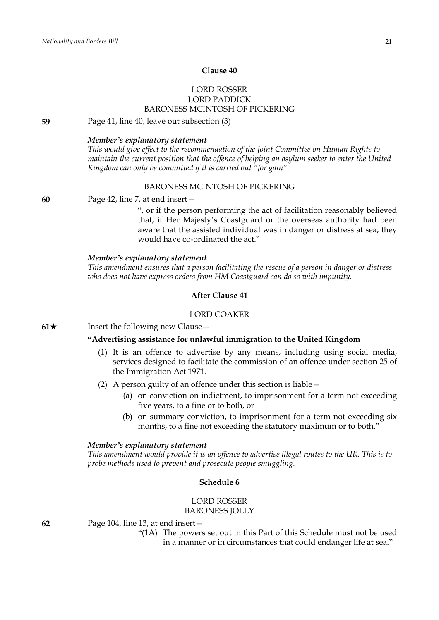### **Clause 40**

### LORD ROSSER LORD PADDICK BARONESS MCINTOSH OF PICKERING

### **59** Page 41, line 40, leave out subsection (3)

#### *Member's explanatory statement*

*This would give effect to the recommendation of the Joint Committee on Human Rights to maintain the current position that the offence of helping an asylum seeker to enter the United Kingdom can only be committed if it is carried out "for gain".*

### BARONESS MCINTOSH OF PICKERING

#### **60** Page 42, line 7, at end insert—

", or if the person performing the act of facilitation reasonably believed that, if Her Majesty's Coastguard or the overseas authority had been aware that the assisted individual was in danger or distress at sea, they would have co-ordinated the act."

#### *Member's explanatory statement*

*This amendment ensures that a person facilitating the rescue of a person in danger or distress who does not have express orders from HM Coastguard can do so with impunity.*

#### **After Clause 41**

#### LORD COAKER

**61**★ Insert the following new Clause —

### **"Advertising assistance for unlawful immigration to the United Kingdom**

- (1) It is an offence to advertise by any means, including using social media, services designed to facilitate the commission of an offence under section 25 of the Immigration Act 1971.
- (2) A person guilty of an offence under this section is liable—
	- (a) on conviction on indictment, to imprisonment for a term not exceeding five years, to a fine or to both, or
	- (b) on summary conviction, to imprisonment for a term not exceeding six months, to a fine not exceeding the statutory maximum or to both."

#### *Member's explanatory statement*

*This amendment would provide it is an offence to advertise illegal routes to the UK. This is to probe methods used to prevent and prosecute people smuggling.*

#### **Schedule 6**

### LORD ROSSER BARONESS JOLLY

**62** Page 104, line 13, at end insert—

"(1A) The powers set out in this Part of this Schedule must not be used in a manner or in circumstances that could endanger life at sea."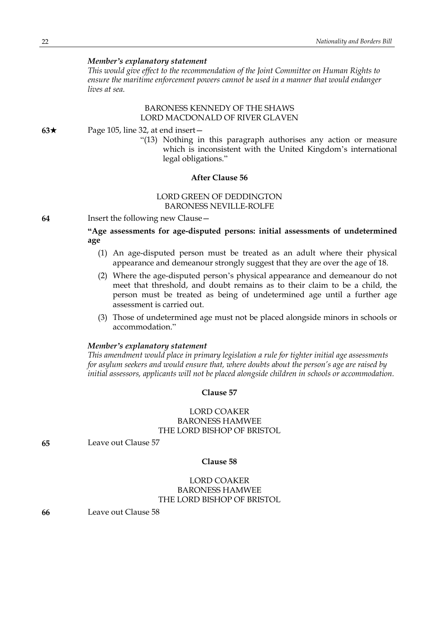*This would give effect to the recommendation of the Joint Committee on Human Rights to ensure the maritime enforcement powers cannot be used in a manner that would endanger lives at sea.*

### BARONESS KENNEDY OF THE SHAWS LORD MACDONALD OF RIVER GLAVEN

### **63**★ Page 105, line 32, at end insert —

"(13) Nothing in this paragraph authorises any action or measure which is inconsistent with the United Kingdom's international legal obligations."

#### **After Clause 56**

### LORD GREEN OF DEDDINGTON BARONESS NEVILLE-ROLFE

**64** Insert the following new Clause—

**"Age assessments for age-disputed persons: initial assessments of undetermined age**

- (1) An age-disputed person must be treated as an adult where their physical appearance and demeanour strongly suggest that they are over the age of 18.
- (2) Where the age-disputed person's physical appearance and demeanour do not meet that threshold, and doubt remains as to their claim to be a child, the person must be treated as being of undetermined age until a further age assessment is carried out.
- (3) Those of undetermined age must not be placed alongside minors in schools or accommodation."

### *Member's explanatory statement*

*This amendment would place in primary legislation a rule for tighter initial age assessments for asylum seekers and would ensure that, where doubts about the person's age are raised by initial assessors, applicants will not be placed alongside children in schools or accommodation.*

### **Clause 57**

### LORD COAKER BARONESS HAMWEE THE LORD BISHOP OF BRISTOL

**65** Leave out Clause 57

#### **Clause 58**

### LORD COAKER BARONESS HAMWEE THE LORD BISHOP OF BRISTOL

**66** Leave out Clause 58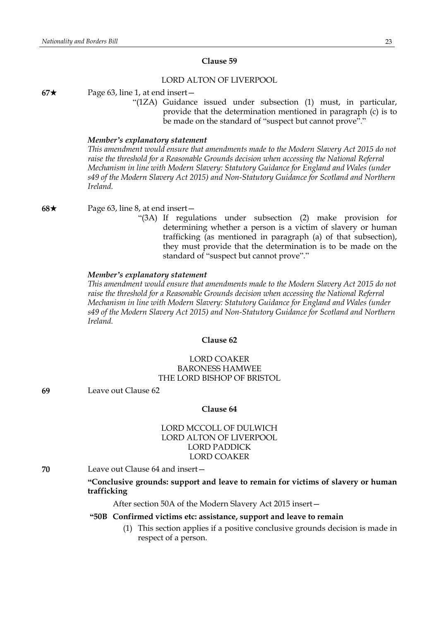#### **Clause 59**

#### LORD ALTON OF LIVERPOOL

**67**★ Page 63, line 1, at end insert—

"(1ZA) Guidance issued under subsection (1) must, in particular, provide that the determination mentioned in paragraph (c) is to be made on the standard of "suspect but cannot prove"."

#### *Member's explanatory statement*

*This amendment would ensure that amendments made to the Modern Slavery Act 2015 do not raise the threshold for a Reasonable Grounds decision when accessing the National Referral Mechanism in line with Modern Slavery: Statutory Guidance for England and Wales (under s49 of the Modern Slavery Act 2015) and Non-Statutory Guidance for Scotland and Northern Ireland.*

**68**★ Page 63, line 8, at end insert —

"(3A) If regulations under subsection (2) make provision for determining whether a person is a victim of slavery or human trafficking (as mentioned in paragraph (a) of that subsection), they must provide that the determination is to be made on the standard of "suspect but cannot prove"."

### *Member's explanatory statement*

*This amendment would ensure that amendments made to the Modern Slavery Act 2015 do not raise the threshold for a Reasonable Grounds decision when accessing the National Referral Mechanism in line with Modern Slavery: Statutory Guidance for England and Wales (under s49 of the Modern Slavery Act 2015) and Non-Statutory Guidance for Scotland and Northern Ireland.*

#### **Clause 62**

### LORD COAKER BARONESS HAMWEE THE LORD BISHOP OF BRISTOL

**69** Leave out Clause 62

#### **Clause 64**

### LORD MCCOLL OF DULWICH LORD ALTON OF LIVERPOOL LORD PADDICK LORD COAKER

**70** Leave out Clause 64 and insert—

**"Conclusive grounds: support and leave to remain for victims of slavery or human trafficking**

After section 50A of the Modern Slavery Act 2015 insert—

#### **"50B Confirmed victims etc: assistance, support and leave to remain**

(1) This section applies if a positive conclusive grounds decision is made in respect of a person.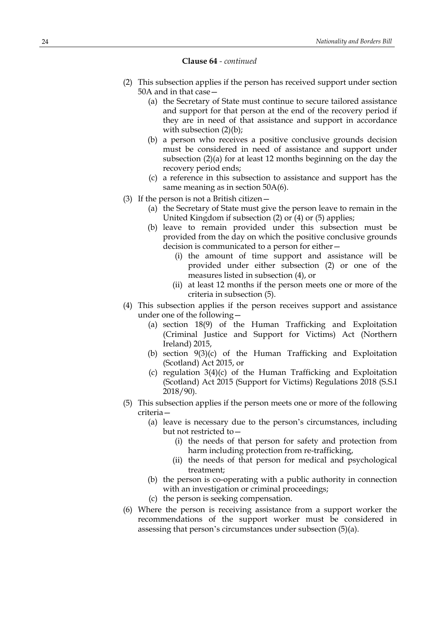#### **Clause 64** *- continued*

- (2) This subsection applies if the person has received support under section 50A and in that case—
	- (a) the Secretary of State must continue to secure tailored assistance and support for that person at the end of the recovery period if they are in need of that assistance and support in accordance with subsection  $(2)(b)$ ;
	- (b) a person who receives a positive conclusive grounds decision must be considered in need of assistance and support under subsection (2)(a) for at least 12 months beginning on the day the recovery period ends;
	- (c) a reference in this subsection to assistance and support has the same meaning as in section 50A(6).
- (3) If the person is not a British citizen—
	- (a) the Secretary of State must give the person leave to remain in the United Kingdom if subsection (2) or (4) or (5) applies;
	- (b) leave to remain provided under this subsection must be provided from the day on which the positive conclusive grounds decision is communicated to a person for either—
		- (i) the amount of time support and assistance will be provided under either subsection (2) or one of the measures listed in subsection (4), or
		- (ii) at least 12 months if the person meets one or more of the criteria in subsection (5).
- (4) This subsection applies if the person receives support and assistance under one of the following—
	- (a) section 18(9) of the Human Trafficking and Exploitation (Criminal Justice and Support for Victims) Act (Northern Ireland) 2015,
	- (b) section 9(3)(c) of the Human Trafficking and Exploitation (Scotland) Act 2015, or
	- (c) regulation 3(4)(c) of the Human Trafficking and Exploitation (Scotland) Act 2015 (Support for Victims) Regulations 2018 (S.S.I 2018/90).
- (5) This subsection applies if the person meets one or more of the following criteria—
	- (a) leave is necessary due to the person's circumstances, including but not restricted to—
		- (i) the needs of that person for safety and protection from harm including protection from re-trafficking,
		- (ii) the needs of that person for medical and psychological treatment;
	- (b) the person is co-operating with a public authority in connection with an investigation or criminal proceedings;
	- (c) the person is seeking compensation.
- (6) Where the person is receiving assistance from a support worker the recommendations of the support worker must be considered in assessing that person's circumstances under subsection (5)(a).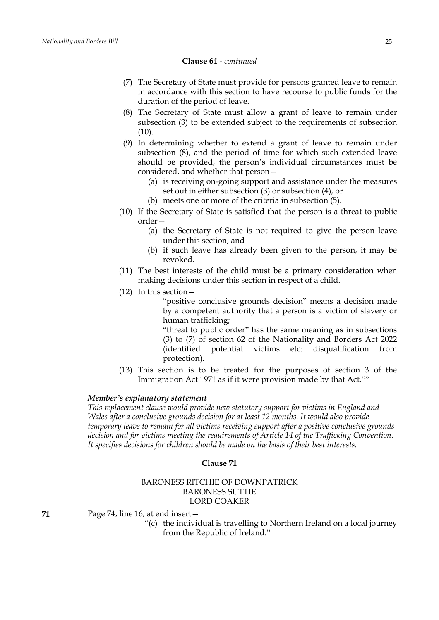#### **Clause 64** *- continued*

- (7) The Secretary of State must provide for persons granted leave to remain in accordance with this section to have recourse to public funds for the duration of the period of leave.
- (8) The Secretary of State must allow a grant of leave to remain under subsection (3) to be extended subject to the requirements of subsection  $(10).$
- (9) In determining whether to extend a grant of leave to remain under subsection (8), and the period of time for which such extended leave should be provided, the person's individual circumstances must be considered, and whether that person—
	- (a) is receiving on-going support and assistance under the measures set out in either subsection (3) or subsection (4), or
	- (b) meets one or more of the criteria in subsection (5).
- (10) If the Secretary of State is satisfied that the person is a threat to public order—
	- (a) the Secretary of State is not required to give the person leave under this section, and
	- (b) if such leave has already been given to the person, it may be revoked.
- (11) The best interests of the child must be a primary consideration when making decisions under this section in respect of a child.
- (12) In this section—

"positive conclusive grounds decision" means a decision made by a competent authority that a person is a victim of slavery or human trafficking;

"threat to public order" has the same meaning as in subsections (3) to (7) of section 62 of the Nationality and Borders Act 2022 (identified potential victims etc: disqualification from protection).

(13) This section is to be treated for the purposes of section 3 of the Immigration Act 1971 as if it were provision made by that Act.""

### *Member's explanatory statement*

*This replacement clause would provide new statutory support for victims in England and Wales after a conclusive grounds decision for at least 12 months. It would also provide temporary leave to remain for all victims receiving support after a positive conclusive grounds decision and for victims meeting the requirements of Article 14 of the Trafficking Convention. It specifies decisions for children should be made on the basis of their best interests.*

### **Clause 71**

### BARONESS RITCHIE OF DOWNPATRICK BARONESS SUTTIE LORD COAKER

**71** Page 74, line 16, at end insert—

"(c) the individual is travelling to Northern Ireland on a local journey from the Republic of Ireland."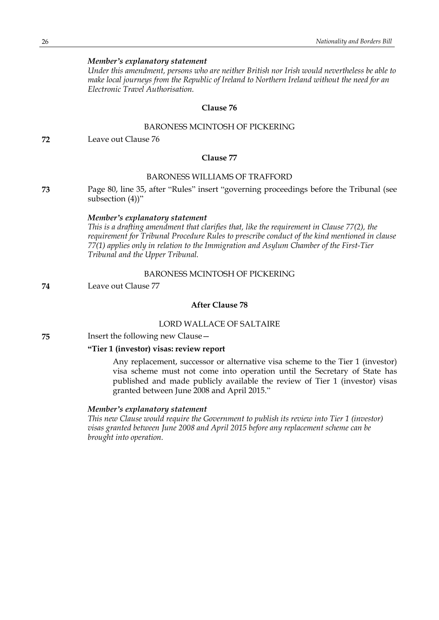*Under this amendment, persons who are neither British nor Irish would nevertheless be able to make local journeys from the Republic of Ireland to Northern Ireland without the need for an Electronic Travel Authorisation.*

### **Clause 76**

### BARONESS MCINTOSH OF PICKERING

**72** Leave out Clause 76

### **Clause 77**

### BARONESS WILLIAMS OF TRAFFORD

**73** Page 80, line 35, after "Rules" insert "governing proceedings before the Tribunal (see subsection (4))"

### *Member's explanatory statement*

*This is a drafting amendment that clarifies that, like the requirement in Clause 77(2), the requirement for Tribunal Procedure Rules to prescribe conduct of the kind mentioned in clause 77(1) applies only in relation to the Immigration and Asylum Chamber of the First-Tier Tribunal and the Upper Tribunal.*

### BARONESS MCINTOSH OF PICKERING

**74** Leave out Clause 77

### **After Clause 78**

### LORD WALLACE OF SALTAIRE

**75** Insert the following new Clause—

### **"Tier 1 (investor) visas: review report**

Any replacement, successor or alternative visa scheme to the Tier 1 (investor) visa scheme must not come into operation until the Secretary of State has published and made publicly available the review of Tier 1 (investor) visas granted between June 2008 and April 2015."

### *Member's explanatory statement*

*This new Clause would require the Government to publish its review into Tier 1 (investor) visas granted between June 2008 and April 2015 before any replacement scheme can be brought into operation.*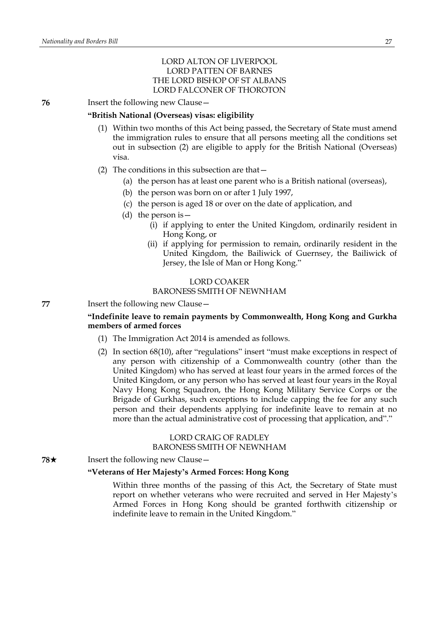### LORD ALTON OF LIVERPOOL LORD PATTEN OF BARNES THE LORD BISHOP OF ST ALBANS LORD FALCONER OF THOROTON

**76** Insert the following new Clause -

### **"British National (Overseas) visas: eligibility**

- (1) Within two months of this Act being passed, the Secretary of State must amend the immigration rules to ensure that all persons meeting all the conditions set out in subsection (2) are eligible to apply for the British National (Overseas) visa.
- (2) The conditions in this subsection are that—
	- (a) the person has at least one parent who is a British national (overseas),
	- (b) the person was born on or after 1 July 1997,
	- (c) the person is aged 18 or over on the date of application, and
	- (d) the person is—
		- (i) if applying to enter the United Kingdom, ordinarily resident in Hong Kong, or
		- (ii) if applying for permission to remain, ordinarily resident in the United Kingdom, the Bailiwick of Guernsey, the Bailiwick of Jersey, the Isle of Man or Hong Kong."

### LORD COAKER BARONESS SMITH OF NEWNHAM

**77** Insert the following new Clause—

### **"Indefinite leave to remain payments by Commonwealth, Hong Kong and Gurkha members of armed forces**

- (1) The Immigration Act 2014 is amended as follows.
- (2) In section 68(10), after "regulations" insert "must make exceptions in respect of any person with citizenship of a Commonwealth country (other than the United Kingdom) who has served at least four years in the armed forces of the United Kingdom, or any person who has served at least four years in the Royal Navy Hong Kong Squadron, the Hong Kong Military Service Corps or the Brigade of Gurkhas, such exceptions to include capping the fee for any such person and their dependents applying for indefinite leave to remain at no more than the actual administrative cost of processing that application, and"."

### LORD CRAIG OF RADLEY BARONESS SMITH OF NEWNHAM

**78**★ Insert the following new Clause —

### **"Veterans of Her Majesty's Armed Forces: Hong Kong**

Within three months of the passing of this Act, the Secretary of State must report on whether veterans who were recruited and served in Her Majesty's Armed Forces in Hong Kong should be granted forthwith citizenship or indefinite leave to remain in the United Kingdom."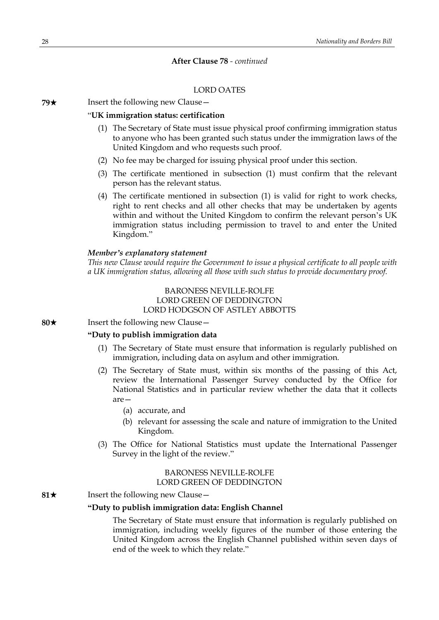### **After Clause 78** *- continued*

### LORD OATES

**79**★ Insert the following new Clause

#### "**UK immigration status: certification**

- (1) The Secretary of State must issue physical proof confirming immigration status to anyone who has been granted such status under the immigration laws of the United Kingdom and who requests such proof.
- (2) No fee may be charged for issuing physical proof under this section.
- (3) The certificate mentioned in subsection (1) must confirm that the relevant person has the relevant status.
- (4) The certificate mentioned in subsection (1) is valid for right to work checks, right to rent checks and all other checks that may be undertaken by agents within and without the United Kingdom to confirm the relevant person's UK immigration status including permission to travel to and enter the United Kingdom."

### *Member's explanatory statement*

*This new Clause would require the Government to issue a physical certificate to all people with a UK immigration status, allowing all those with such status to provide documentary proof.*

### BARONESS NEVILLE-ROLFE LORD GREEN OF DEDDINGTON LORD HODGSON OF ASTLEY ABBOTTS

**80**★ Insert the following new Clause

### **"Duty to publish immigration data**

- (1) The Secretary of State must ensure that information is regularly published on immigration, including data on asylum and other immigration.
- (2) The Secretary of State must, within six months of the passing of this Act, review the International Passenger Survey conducted by the Office for National Statistics and in particular review whether the data that it collects are—
	- (a) accurate, and
	- (b) relevant for assessing the scale and nature of immigration to the United Kingdom.
- (3) The Office for National Statistics must update the International Passenger Survey in the light of the review."

### BARONESS NEVILLE-ROLFE LORD GREEN OF DEDDINGTON

#### **81**★ Insert the following new Clause —

#### **"Duty to publish immigration data: English Channel**

The Secretary of State must ensure that information is regularly published on immigration, including weekly figures of the number of those entering the United Kingdom across the English Channel published within seven days of end of the week to which they relate."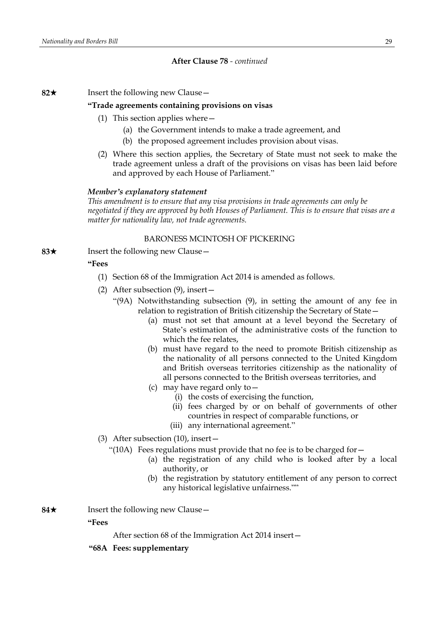### **After Clause 78** *- continued*

**82**\* Insert the following new Clause—

#### **"Trade agreements containing provisions on visas**

- (1) This section applies where—
	- (a) the Government intends to make a trade agreement, and
	- (b) the proposed agreement includes provision about visas.
- (2) Where this section applies, the Secretary of State must not seek to make the trade agreement unless a draft of the provisions on visas has been laid before and approved by each House of Parliament."

#### *Member's explanatory statement*

*This amendment is to ensure that any visa provisions in trade agreements can only be negotiated if they are approved by both Houses of Parliament. This is to ensure that visas are a matter for nationality law, not trade agreements.*

### BARONESS MCINTOSH OF PICKERING

**83**★ Insert the following new Clause —

### **"Fees**

- (1) Section 68 of the Immigration Act 2014 is amended as follows.
- (2) After subsection (9), insert—
	- "(9A) Notwithstanding subsection (9), in setting the amount of any fee in relation to registration of British citizenship the Secretary of State—
		- (a) must not set that amount at a level beyond the Secretary of State's estimation of the administrative costs of the function to which the fee relates,
		- (b) must have regard to the need to promote British citizenship as the nationality of all persons connected to the United Kingdom and British overseas territories citizenship as the nationality of all persons connected to the British overseas territories, and
		- (c) may have regard only to—
			- (i) the costs of exercising the function,
			- (ii) fees charged by or on behalf of governments of other countries in respect of comparable functions, or
			- (iii) any international agreement."
- (3) After subsection (10), insert—
	- "(10A) Fees regulations must provide that no fee is to be charged for  $-$ 
		- (a) the registration of any child who is looked after by a local authority, or
		- (b) the registration by statutory entitlement of any person to correct any historical legislative unfairness.""
- **84**★ Insert the following new Clause —

**"Fees**

After section 68 of the Immigration Act 2014 insert—

**"68A Fees: supplementary**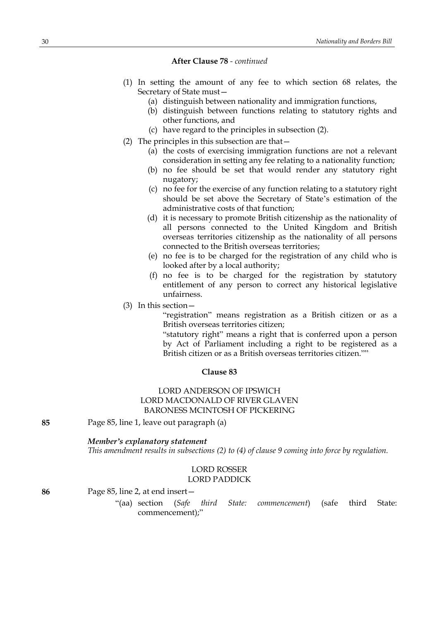### **After Clause 78** *- continued*

- (1) In setting the amount of any fee to which section 68 relates, the Secretary of State must—
	- (a) distinguish between nationality and immigration functions,
	- (b) distinguish between functions relating to statutory rights and other functions, and
	- (c) have regard to the principles in subsection (2).
- (2) The principles in this subsection are that—
	- (a) the costs of exercising immigration functions are not a relevant consideration in setting any fee relating to a nationality function;
	- (b) no fee should be set that would render any statutory right nugatory;
	- (c) no fee for the exercise of any function relating to a statutory right should be set above the Secretary of State's estimation of the administrative costs of that function;
	- (d) it is necessary to promote British citizenship as the nationality of all persons connected to the United Kingdom and British overseas territories citizenship as the nationality of all persons connected to the British overseas territories;
	- (e) no fee is to be charged for the registration of any child who is looked after by a local authority;
	- (f) no fee is to be charged for the registration by statutory entitlement of any person to correct any historical legislative unfairness.
- (3) In this section—

"registration" means registration as a British citizen or as a British overseas territories citizen;

"statutory right" means a right that is conferred upon a person by Act of Parliament including a right to be registered as a British citizen or as a British overseas territories citizen.""

#### **Clause 83**

### LORD ANDERSON OF IPSWICH LORD MACDONALD OF RIVER GLAVEN BARONESS MCINTOSH OF PICKERING

**85** Page 85, line 1, leave out paragraph (a)

#### *Member's explanatory statement*

*This amendment results in subsections (2) to (4) of clause 9 coming into force by regulation.*

### LORD ROSSER LORD PADDICK

**86** Page 85, line 2, at end insert—

"(aa) section (*Safe third State: commencement*) (safe third State: commencement);"